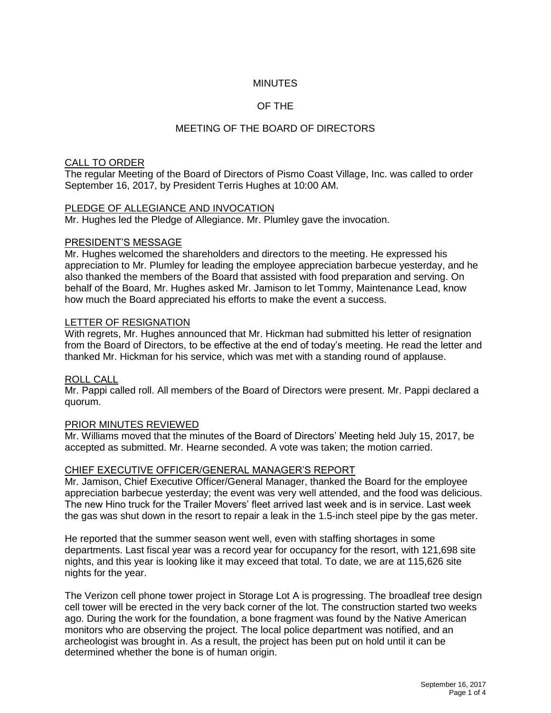## **MINUTES**

## OF THE

# MEETING OF THE BOARD OF DIRECTORS

### CALL TO ORDER

The regular Meeting of the Board of Directors of Pismo Coast Village, Inc. was called to order September 16, 2017, by President Terris Hughes at 10:00 AM.

#### PLEDGE OF ALLEGIANCE AND INVOCATION

Mr. Hughes led the Pledge of Allegiance. Mr. Plumley gave the invocation.

#### PRESIDENT'S MESSAGE

Mr. Hughes welcomed the shareholders and directors to the meeting. He expressed his appreciation to Mr. Plumley for leading the employee appreciation barbecue yesterday, and he also thanked the members of the Board that assisted with food preparation and serving. On behalf of the Board, Mr. Hughes asked Mr. Jamison to let Tommy, Maintenance Lead, know how much the Board appreciated his efforts to make the event a success.

#### LETTER OF RESIGNATION

With regrets, Mr. Hughes announced that Mr. Hickman had submitted his letter of resignation from the Board of Directors, to be effective at the end of today's meeting. He read the letter and thanked Mr. Hickman for his service, which was met with a standing round of applause.

#### ROLL CALL

Mr. Pappi called roll. All members of the Board of Directors were present. Mr. Pappi declared a quorum.

#### PRIOR MINUTES REVIEWED

Mr. Williams moved that the minutes of the Board of Directors' Meeting held July 15, 2017, be accepted as submitted. Mr. Hearne seconded. A vote was taken; the motion carried.

#### CHIEF EXECUTIVE OFFICER/GENERAL MANAGER'S REPORT

Mr. Jamison, Chief Executive Officer/General Manager, thanked the Board for the employee appreciation barbecue yesterday; the event was very well attended, and the food was delicious. The new Hino truck for the Trailer Movers' fleet arrived last week and is in service. Last week the gas was shut down in the resort to repair a leak in the 1.5-inch steel pipe by the gas meter.

He reported that the summer season went well, even with staffing shortages in some departments. Last fiscal year was a record year for occupancy for the resort, with 121,698 site nights, and this year is looking like it may exceed that total. To date, we are at 115,626 site nights for the year.

The Verizon cell phone tower project in Storage Lot A is progressing. The broadleaf tree design cell tower will be erected in the very back corner of the lot. The construction started two weeks ago. During the work for the foundation, a bone fragment was found by the Native American monitors who are observing the project. The local police department was notified, and an archeologist was brought in. As a result, the project has been put on hold until it can be determined whether the bone is of human origin.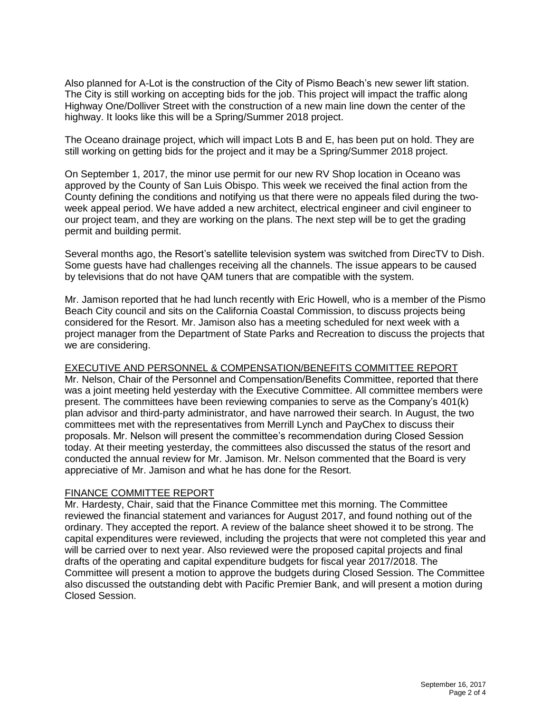Also planned for A-Lot is the construction of the City of Pismo Beach's new sewer lift station. The City is still working on accepting bids for the job. This project will impact the traffic along Highway One/Dolliver Street with the construction of a new main line down the center of the highway. It looks like this will be a Spring/Summer 2018 project.

The Oceano drainage project, which will impact Lots B and E, has been put on hold. They are still working on getting bids for the project and it may be a Spring/Summer 2018 project.

On September 1, 2017, the minor use permit for our new RV Shop location in Oceano was approved by the County of San Luis Obispo. This week we received the final action from the County defining the conditions and notifying us that there were no appeals filed during the twoweek appeal period. We have added a new architect, electrical engineer and civil engineer to our project team, and they are working on the plans. The next step will be to get the grading permit and building permit.

Several months ago, the Resort's satellite television system was switched from DirecTV to Dish. Some guests have had challenges receiving all the channels. The issue appears to be caused by televisions that do not have QAM tuners that are compatible with the system.

Mr. Jamison reported that he had lunch recently with Eric Howell, who is a member of the Pismo Beach City council and sits on the California Coastal Commission, to discuss projects being considered for the Resort. Mr. Jamison also has a meeting scheduled for next week with a project manager from the Department of State Parks and Recreation to discuss the projects that we are considering.

## EXECUTIVE AND PERSONNEL & COMPENSATION/BENEFITS COMMITTEE REPORT

Mr. Nelson, Chair of the Personnel and Compensation/Benefits Committee, reported that there was a joint meeting held yesterday with the Executive Committee. All committee members were present. The committees have been reviewing companies to serve as the Company's 401(k) plan advisor and third-party administrator, and have narrowed their search. In August, the two committees met with the representatives from Merrill Lynch and PayChex to discuss their proposals. Mr. Nelson will present the committee's recommendation during Closed Session today. At their meeting yesterday, the committees also discussed the status of the resort and conducted the annual review for Mr. Jamison. Mr. Nelson commented that the Board is very appreciative of Mr. Jamison and what he has done for the Resort.

#### FINANCE COMMITTEE REPORT

Mr. Hardesty, Chair, said that the Finance Committee met this morning. The Committee reviewed the financial statement and variances for August 2017, and found nothing out of the ordinary. They accepted the report. A review of the balance sheet showed it to be strong. The capital expenditures were reviewed, including the projects that were not completed this year and will be carried over to next year. Also reviewed were the proposed capital projects and final drafts of the operating and capital expenditure budgets for fiscal year 2017/2018. The Committee will present a motion to approve the budgets during Closed Session. The Committee also discussed the outstanding debt with Pacific Premier Bank, and will present a motion during Closed Session.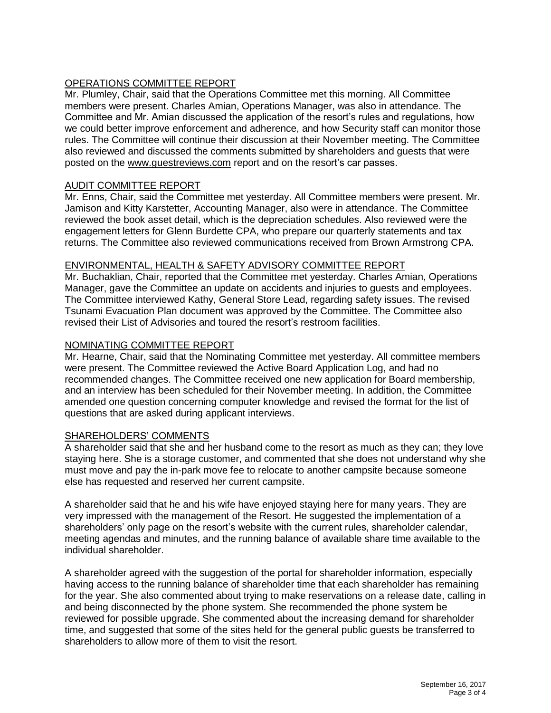# OPERATIONS COMMITTEE REPORT

Mr. Plumley, Chair, said that the Operations Committee met this morning. All Committee members were present. Charles Amian, Operations Manager, was also in attendance. The Committee and Mr. Amian discussed the application of the resort's rules and regulations, how we could better improve enforcement and adherence, and how Security staff can monitor those rules. The Committee will continue their discussion at their November meeting. The Committee also reviewed and discussed the comments submitted by shareholders and guests that were posted on the [www.guestreviews.com](http://www.guestreviews.com/) report and on the resort's car passes.

## AUDIT COMMITTEE REPORT

Mr. Enns, Chair, said the Committee met yesterday. All Committee members were present. Mr. Jamison and Kitty Karstetter, Accounting Manager, also were in attendance. The Committee reviewed the book asset detail, which is the depreciation schedules. Also reviewed were the engagement letters for Glenn Burdette CPA, who prepare our quarterly statements and tax returns. The Committee also reviewed communications received from Brown Armstrong CPA.

### ENVIRONMENTAL, HEALTH & SAFETY ADVISORY COMMITTEE REPORT

Mr. Buchaklian, Chair, reported that the Committee met yesterday. Charles Amian, Operations Manager, gave the Committee an update on accidents and injuries to guests and employees. The Committee interviewed Kathy, General Store Lead, regarding safety issues. The revised Tsunami Evacuation Plan document was approved by the Committee. The Committee also revised their List of Advisories and toured the resort's restroom facilities.

### NOMINATING COMMITTEE REPORT

Mr. Hearne, Chair, said that the Nominating Committee met yesterday. All committee members were present. The Committee reviewed the Active Board Application Log, and had no recommended changes. The Committee received one new application for Board membership, and an interview has been scheduled for their November meeting. In addition, the Committee amended one question concerning computer knowledge and revised the format for the list of questions that are asked during applicant interviews.

#### SHAREHOLDERS' COMMENTS

A shareholder said that she and her husband come to the resort as much as they can; they love staying here. She is a storage customer, and commented that she does not understand why she must move and pay the in-park move fee to relocate to another campsite because someone else has requested and reserved her current campsite.

A shareholder said that he and his wife have enjoyed staying here for many years. They are very impressed with the management of the Resort. He suggested the implementation of a shareholders' only page on the resort's website with the current rules, shareholder calendar, meeting agendas and minutes, and the running balance of available share time available to the individual shareholder.

A shareholder agreed with the suggestion of the portal for shareholder information, especially having access to the running balance of shareholder time that each shareholder has remaining for the year. She also commented about trying to make reservations on a release date, calling in and being disconnected by the phone system. She recommended the phone system be reviewed for possible upgrade. She commented about the increasing demand for shareholder time, and suggested that some of the sites held for the general public guests be transferred to shareholders to allow more of them to visit the resort.